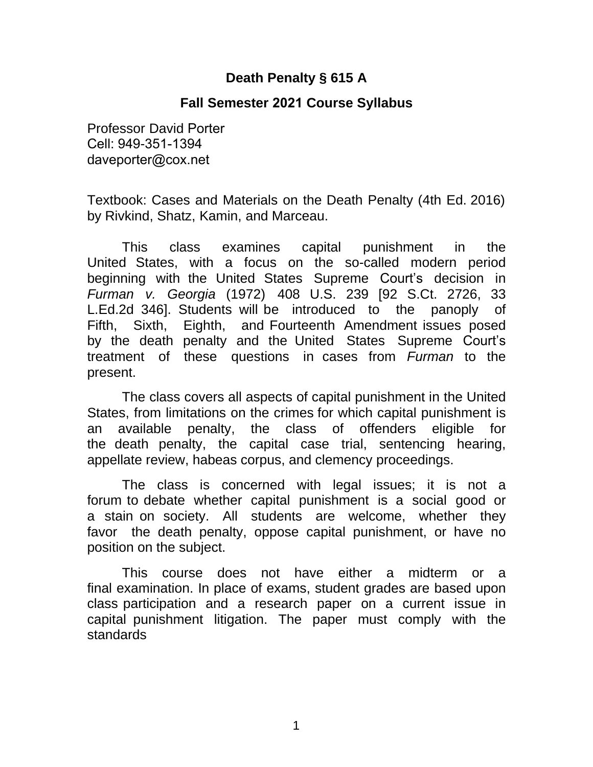# **Death Penalty § 615 A**

### **Fall Semester 2021 Course Syllabus**

Professor David Porter Cell: 949-351-1394 daveporter@cox.net

Textbook: Cases and Materials on the Death Penalty (4th Ed. 2016) by Rivkind, Shatz, Kamin, and Marceau.

This class examines capital punishment in the United States, with a focus on the so-called modern period beginning with the United States Supreme Court's decision in *Furman v. Georgia* (1972) 408 U.S. 239 [92 S.Ct. 2726, 33 L.Ed.2d 346]. Students will be introduced to the panoply of Fifth, Sixth, Eighth, and Fourteenth Amendment issues posed by the death penalty and the United States Supreme Court's treatment of these questions in cases from *Furman* to the present.

The class covers all aspects of capital punishment in the United States, from limitations on the crimes for which capital punishment is an available penalty, the class of offenders eligible for the death penalty, the capital case trial, sentencing hearing, appellate review, habeas corpus, and clemency proceedings.

The class is concerned with legal issues; it is not a forum to debate whether capital punishment is a social good or a stain on society. All students are welcome, whether they favor the death penalty, oppose capital punishment, or have no position on the subject.

This course does not have either a midterm or a final examination. In place of exams, student grades are based upon class participation and a research paper on a current issue in capital punishment litigation. The paper must comply with the standards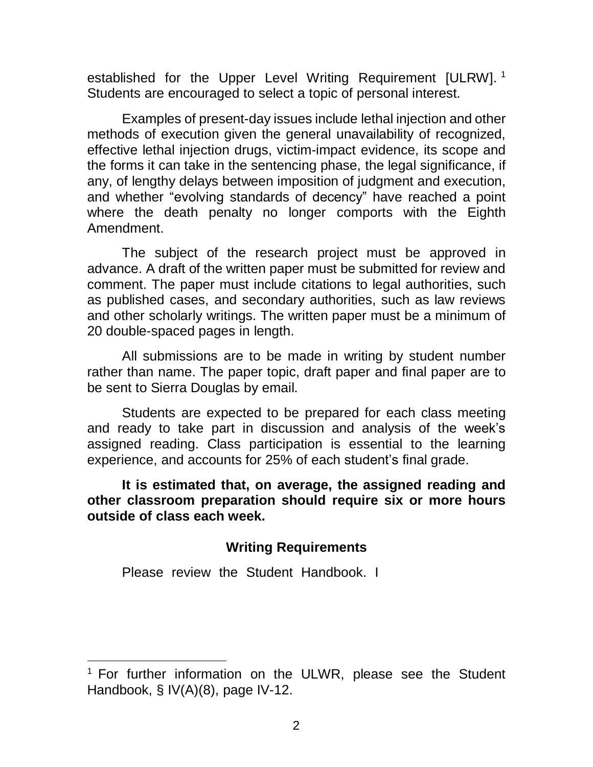established for the Upper Level Writing Requirement [ULRW].<sup>1</sup> Students are encouraged to select a topic of personal interest.

Examples of present-day issues include lethal injection and other methods of execution given the general unavailability of recognized, effective lethal injection drugs, victim-impact evidence, its scope and the forms it can take in the sentencing phase, the legal significance, if any, of lengthy delays between imposition of judgment and execution, and whether "evolving standards of decency" have reached a point where the death penalty no longer comports with the Eighth Amendment.

The subject of the research project must be approved in advance. A draft of the written paper must be submitted for review and comment. The paper must include citations to legal authorities, such as published cases, and secondary authorities, such as law reviews and other scholarly writings. The written paper must be a minimum of 20 double-spaced pages in length.

All submissions are to be made in writing by student number rather than name. The paper topic, draft paper and final paper are to be sent to Sierra Douglas by email.

Students are expected to be prepared for each class meeting and ready to take part in discussion and analysis of the week's assigned reading. Class participation is essential to the learning experience, and accounts for 25% of each student's final grade.

**It is estimated that, on average, the assigned reading and other classroom preparation should require six or more hours outside of class each week.** 

### **Writing Requirements**

Please review the Student Handbook. I

 $1$  For further information on the ULWR, please see the Student Handbook, § IV(A)(8), page IV-12.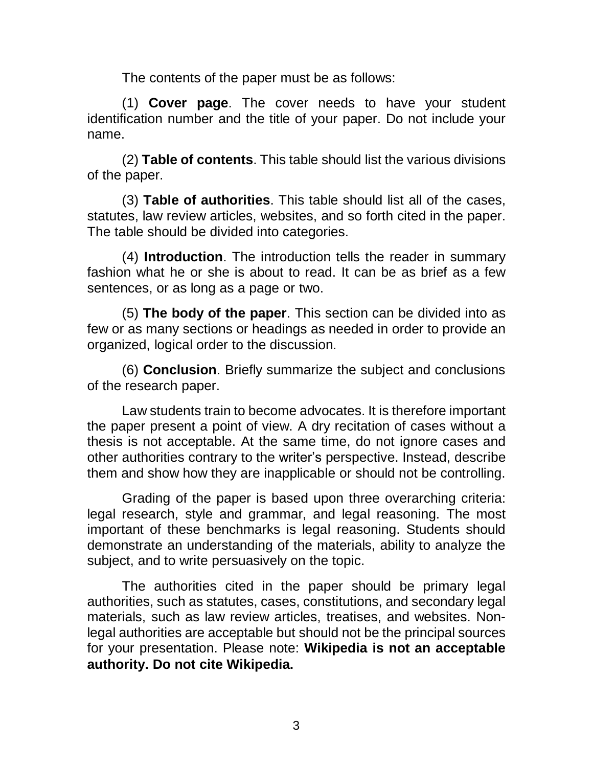The contents of the paper must be as follows:

(1) **Cover page**. The cover needs to have your student identification number and the title of your paper. Do not include your name.

(2) **Table of contents**. This table should list the various divisions of the paper.

(3) **Table of authorities**. This table should list all of the cases, statutes, law review articles, websites, and so forth cited in the paper. The table should be divided into categories.

(4) **Introduction**. The introduction tells the reader in summary fashion what he or she is about to read. It can be as brief as a few sentences, or as long as a page or two.

(5) **The body of the paper**. This section can be divided into as few or as many sections or headings as needed in order to provide an organized, logical order to the discussion.

(6) **Conclusion**. Briefly summarize the subject and conclusions of the research paper.

Law students train to become advocates. It is therefore important the paper present a point of view. A dry recitation of cases without a thesis is not acceptable. At the same time, do not ignore cases and other authorities contrary to the writer's perspective. Instead, describe them and show how they are inapplicable or should not be controlling.

Grading of the paper is based upon three overarching criteria: legal research, style and grammar, and legal reasoning. The most important of these benchmarks is legal reasoning. Students should demonstrate an understanding of the materials, ability to analyze the subject, and to write persuasively on the topic.

The authorities cited in the paper should be primary legal authorities, such as statutes, cases, constitutions, and secondary legal materials, such as law review articles, treatises, and websites. Nonlegal authorities are acceptable but should not be the principal sources for your presentation. Please note: **Wikipedia is not an acceptable authority. Do not cite Wikipedia.**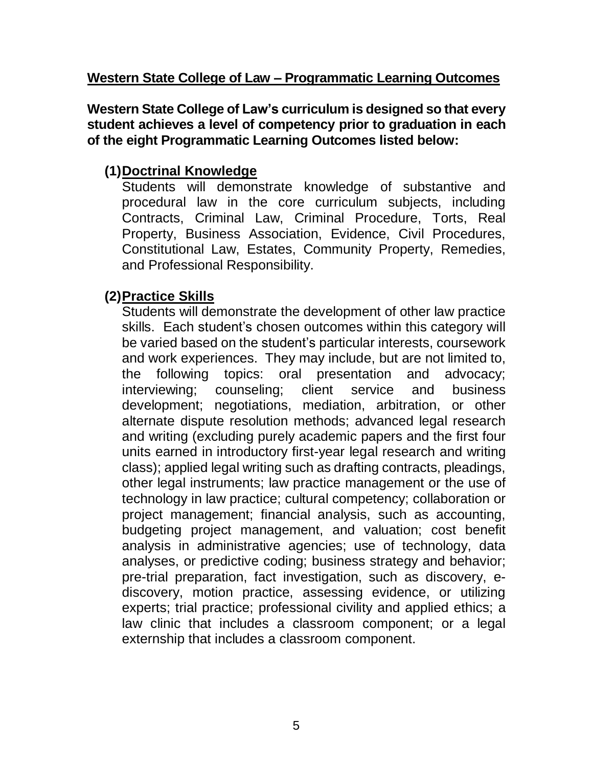### **Western State College of Law – Programmatic Learning Outcomes**

**Western State College of Law's curriculum is designed so that every student achieves a level of competency prior to graduation in each of the eight Programmatic Learning Outcomes listed below:**

# **(1)Doctrinal Knowledge**

Students will demonstrate knowledge of substantive and procedural law in the core curriculum subjects, including Contracts, Criminal Law, Criminal Procedure, Torts, Real Property, Business Association, Evidence, Civil Procedures, Constitutional Law, Estates, Community Property, Remedies, and Professional Responsibility.

# **(2)Practice Skills**

Students will demonstrate the development of other law practice skills. Each student's chosen outcomes within this category will be varied based on the student's particular interests, coursework and work experiences. They may include, but are not limited to, the following topics: oral presentation and advocacy; interviewing; counseling; client service and business development; negotiations, mediation, arbitration, or other alternate dispute resolution methods; advanced legal research and writing (excluding purely academic papers and the first four units earned in introductory first-year legal research and writing class); applied legal writing such as drafting contracts, pleadings, other legal instruments; law practice management or the use of technology in law practice; cultural competency; collaboration or project management; financial analysis, such as accounting, budgeting project management, and valuation; cost benefit analysis in administrative agencies; use of technology, data analyses, or predictive coding; business strategy and behavior; pre-trial preparation, fact investigation, such as discovery, ediscovery, motion practice, assessing evidence, or utilizing experts; trial practice; professional civility and applied ethics; a law clinic that includes a classroom component; or a legal externship that includes a classroom component.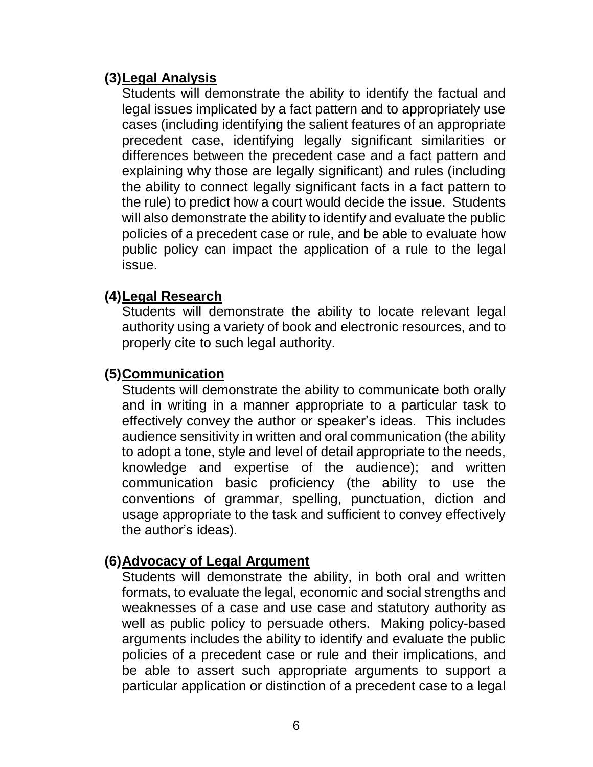### **(3)Legal Analysis**

Students will demonstrate the ability to identify the factual and legal issues implicated by a fact pattern and to appropriately use cases (including identifying the salient features of an appropriate precedent case, identifying legally significant similarities or differences between the precedent case and a fact pattern and explaining why those are legally significant) and rules (including the ability to connect legally significant facts in a fact pattern to the rule) to predict how a court would decide the issue. Students will also demonstrate the ability to identify and evaluate the public policies of a precedent case or rule, and be able to evaluate how public policy can impact the application of a rule to the legal issue.

### **(4)Legal Research**

Students will demonstrate the ability to locate relevant legal authority using a variety of book and electronic resources, and to properly cite to such legal authority.

# **(5)Communication**

Students will demonstrate the ability to communicate both orally and in writing in a manner appropriate to a particular task to effectively convey the author or speaker's ideas. This includes audience sensitivity in written and oral communication (the ability to adopt a tone, style and level of detail appropriate to the needs, knowledge and expertise of the audience); and written communication basic proficiency (the ability to use the conventions of grammar, spelling, punctuation, diction and usage appropriate to the task and sufficient to convey effectively the author's ideas).

# **(6)Advocacy of Legal Argument**

Students will demonstrate the ability, in both oral and written formats, to evaluate the legal, economic and social strengths and weaknesses of a case and use case and statutory authority as well as public policy to persuade others. Making policy-based arguments includes the ability to identify and evaluate the public policies of a precedent case or rule and their implications, and be able to assert such appropriate arguments to support a particular application or distinction of a precedent case to a legal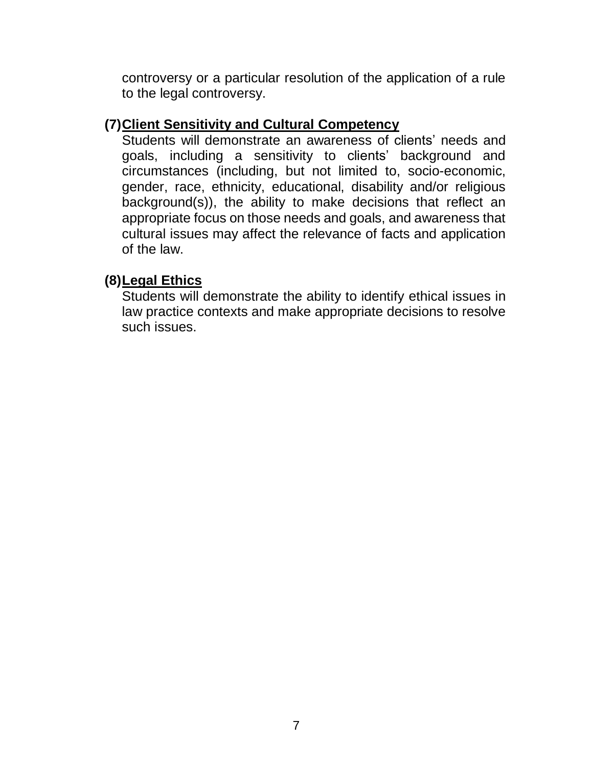controversy or a particular resolution of the application of a rule to the legal controversy.

### **(7)Client Sensitivity and Cultural Competency**

Students will demonstrate an awareness of clients' needs and goals, including a sensitivity to clients' background and circumstances (including, but not limited to, socio-economic, gender, race, ethnicity, educational, disability and/or religious background(s)), the ability to make decisions that reflect an appropriate focus on those needs and goals, and awareness that cultural issues may affect the relevance of facts and application of the law.

### **(8)Legal Ethics**

Students will demonstrate the ability to identify ethical issues in law practice contexts and make appropriate decisions to resolve such issues.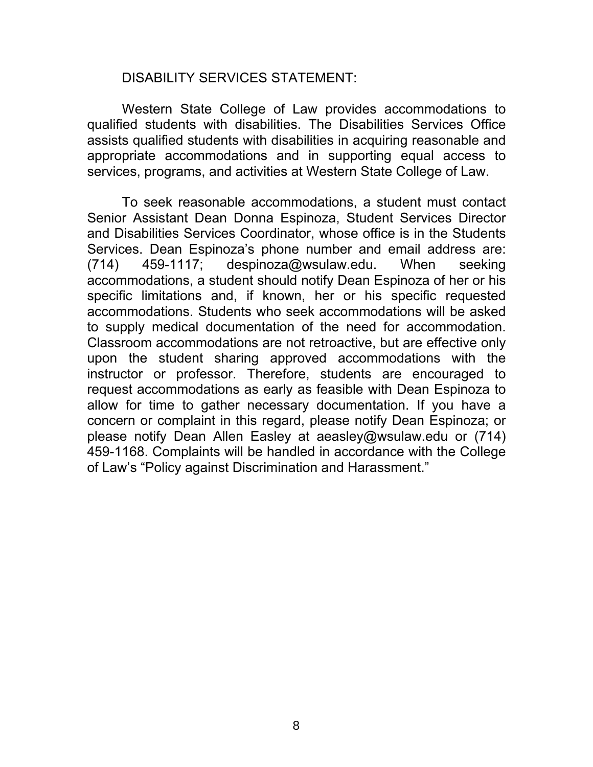#### DISABILITY SERVICES STATEMENT:

Western State College of Law provides accommodations to qualified students with disabilities. The Disabilities Services Office assists qualified students with disabilities in acquiring reasonable and appropriate accommodations and in supporting equal access to services, programs, and activities at Western State College of Law.

To seek reasonable accommodations, a student must contact Senior Assistant Dean Donna Espinoza, Student Services Director and Disabilities Services Coordinator, whose office is in the Students Services. Dean Espinoza's phone number and email address are:  $(714)$  459-1117; despinoza@wsulaw.edu. When seeking accommodations, a student should notify Dean Espinoza of her or his specific limitations and, if known, her or his specific requested accommodations. Students who seek accommodations will be asked to supply medical documentation of the need for accommodation. Classroom accommodations are not retroactive, but are effective only upon the student sharing approved accommodations with the instructor or professor. Therefore, students are encouraged to request accommodations as early as feasible with Dean Espinoza to allow for time to gather necessary documentation. If you have a concern or complaint in this regard, please notify Dean Espinoza; or please notify Dean Allen Easley at aeasley@wsulaw.edu or (714) [459-1168. Complaints wi](mailto:csheppard@wsulaw.edu)ll be handled in accordance with the College of Law's "Policy against Discrimination and Harassment."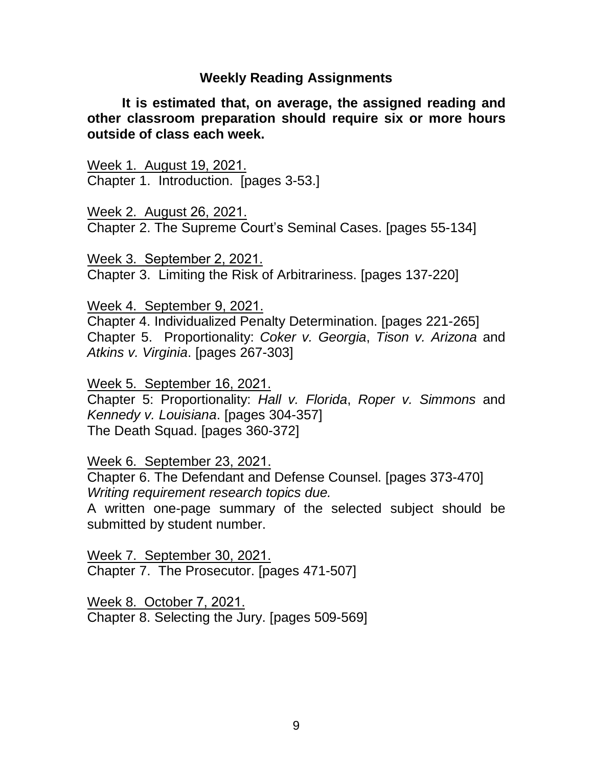#### **Weekly Reading Assignments**

**It is estimated that, on average, the assigned reading and other classroom preparation should require six or more hours outside of class each week.** 

Week 1. August 19, 2021. Chapter 1. Introduction. [pages 3-53.]

Week 2. August 26, 2021. Chapter 2. The Supreme Court's Seminal Cases. [pages 55-134]

Week 3. September 2, 2021. Chapter 3. Limiting the Risk of Arbitrariness. [pages 137-220]

Week 4. September 9, 2021.

Chapter 4. Individualized Penalty Determination. [pages 221-265] Chapter 5. Proportionality: *Coker v. Georgia*, *Tison v. Arizona* and *Atkins v. Virginia*. [pages 267-303]

Week 5. September 16, 2021. Chapter 5: Proportionality: *Hall v. Florida*, *Roper v. Simmons* and *Kennedy v. Louisiana*. [pages 304-357] The Death Squad. [pages 360-372]

Week 6. September 23, 2021.

Chapter 6. The Defendant and Defense Counsel. [pages 373-470] *Writing requirement research topics due.*

A written one-page summary of the selected subject should be submitted by student number.

Week 7. September 30, 2021. Chapter 7. The Prosecutor. [pages 471-507]

Week 8. October 7, 2021. Chapter 8. Selecting the Jury. [pages 509-569]